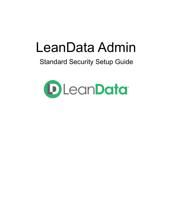# LeanData Admin

# Standard Security Setup Guide

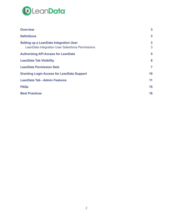

| <b>Overview</b>                                                                                   | $\mathbf{3}$ |
|---------------------------------------------------------------------------------------------------|--------------|
| <b>Definitions</b>                                                                                | 3            |
| <b>Setting up a LeanData Integration User</b><br>LeanData Integration User Salesforce Permissions | 3<br>3       |
| <b>Authorizing API Access for LeanData</b>                                                        | 5            |
| <b>LeanData Tab Visibility</b>                                                                    | 6            |
| <b>LeanData Permission Sets</b>                                                                   | 7            |
| <b>Granting Login Access for LeanData Support</b>                                                 | 10           |
| <b>LeanData Tab - Admin Features</b>                                                              | 11           |
| <b>FAQs</b>                                                                                       | 15           |
| <b>Best Practices</b>                                                                             | 16           |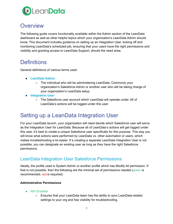

### <span id="page-2-0"></span>**Overview**

The following guide covers functionality available within the Admin section of the LeanData dashboard as well as other helpful topics which your organization's LeanData Admin should know. This document includes guidance on setting up an Integration User, kicking off and monitoring LeanData's scheduled job, ensuring that your users have the right permissions and visibility and granting access to LeanData Support, should the need arise.

### <span id="page-2-1"></span>**Definitions**

General definitions of various terms used.

- **● LeanData Admin**
	- The individual who will be administering LeanData. Commonly your organization's Salesforce Admin or another user who will be taking charge of your organization's LeanData setup.
- **● Integration User**
	- The Salesforce user account which LeanData will operate under. All of LeanData's actions will be logged under this user.

### <span id="page-2-2"></span>Setting up a LeanData Integration User

For your LeanData launch, your organization will need decide which Salesforce user will serve as the Integration User for LeanData. Because all of LeanData's actions will get logged under this user, it's best to create a unique Salesforce user specifically for this purpose. This way you will know what actions were performed by LeanData vs. other automation or users, which makes troubleshooting a lot easier. If a creating a separate LeanData Integration User is not possible, you can designate an existing user as long as they have the right Salesforce permissions.

### <span id="page-2-3"></span>LeanData Integration User Salesforce Permissions

Ideally, the profile used is System Admin or another profile which has Modify All permission. If that is not possible, then the following are the minimal set of permissions needed (green is recommended, red is required)

#### **Administrative Permissions**

- API Enabled
	- Ensures that your LeanData team has the ability to sync LeanData-related settings to your org and has visibility for troubleshooting.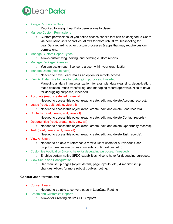

- Assign Permission Sets
	- Required to assign LeanData permissions to Users
- **Manage Custom Permissions** 
	- Custom permissions let you define access checks that can be assigned to Users via permission sets or profiles. Allows for more robust troubleshooting for LeanData regarding other custom processes & apps that may require custom permissions.
- Manage Custom Report Types
	- Allows customizing, editing, and deleting custom reports.
- **Manage Package Licenses** 
	- You can assign each license to a user within your organization
- Manage Users (nice to have)
	- Needed to have LeanData as an option for remote access.
- View All Data (nice to have for debugging purposes, if needed)
	- Managing all data in an organization; for example, data cleansing, deduplication, mass deletion, mass transferring, and managing record approvals. Nice to have for debugging purposes, if needed.
- Accounts (read, create, edit, view all)
	- Needed to access this object (read, create, edit, and delete Account records).
- Leads (read, edit, delete, view all)
	- Needed to access this object (read, create, edit, and delete Lead records).
- Contacts (read, create, edit, view all)
	- Needed to access this object (read, create, edit, and delete Contact records).
- Opportunities (read, create, edit, view all)
	- Needed to access this object (read, create, edit, and delete Opportunity records).
- Task (read, create, edit, view all)
	- Needed to access this object (read, create, edit, and delete Task records).
- View All Users
	- Needed to be able to reference & view a list of users for our various User dropdown menus (record assignments, configurations, etc.)
- Customize Application (nice to have for debugging purposes, if needed)
	- Enables certain native SFDC capabilities. Nice to have for debugging purposes.
- View Setup and Configuration
	- Can view setup pages (object details, page layouts, etc.) & monitor setup changes. Allows for more robust troubleshooting.

#### **General User Permissions**

- Convert Leads
	- Needed to be able to convert leads in LeanData Routing
- Create and Customize Reports
	- Allows for Creating Native SFDC reports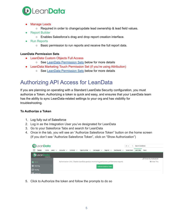

- **Manage Leads** 
	- $\circ$  Required in order to change/update lead ownership & lead field values.
- **Report Builder** 
	- Enables Salesforce's drag and drop report creation interface.
- Run Reports
	- Basic permission to run reports and receive the full report data.

#### **LeanData Permission Sets**

- LeanData Custom Objects Full Access
	- See LeanData [Permission](#page-6-0) Sets below for more details
- LeanData Marketing Touch Permission Set (if you're using Attribution)
	- See LeanData [Permission](#page-6-0) Sets below for more details

### <span id="page-4-0"></span>Authorizing API Access for LeanData

If you are planning on operating with a Standard LeanData Security configuration, you must authorize a Token. Authorizing a token is quick and easy, and ensures that your LeanData team has the ability to sync LeanData-related settings to your org and has visibility for troubleshooting.

#### **To Authorize a Token**

- 1. Log fully out of Salesforce
- 2. Log in as the Integration User you've designated for LeanData
- 3. Go to your Salesforce Tabs and search for LeanData
- 4. Once in the tab, you will see an "Authorize Salesforce Token" button on the home screen (If you don't see "Authorize Salesforce Token", click on "Show Authorization")



5. Click to Authorize the token and follow the prompts to do so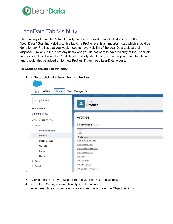

# <span id="page-5-0"></span>LeanData Tab Visibility

The majority of LeanData's functionality can be accessed from a Salesforce tab called "LeanData." Granting visibility to this tab on a Profile level is an important step which should be done for any Profiles that you would need to have visibility of the LeanData tools at their disposal. Similarly, if there are any users who you do not want to have visibility of the LeanData tab, you can limit this on the Profile level. Visibility should be given upon your LeanData launch and should also be added on for new Profiles, if they need LeanData access.

#### **To Grant LeanData Tab Visibility**

1. In Setup, click into Users, then into Profiles



- 3. Click on the Profile you would like to give LeanData Tab visibility
- 4. In the Find Settings search box, type in LeanData
- 5. When search results come up, click on LeanData under the Object Settings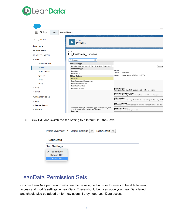



6. Click Edit and switch the tab setting to "Default On", the Save



### <span id="page-6-0"></span>LeanData Permission Sets

Custom LeanData permission sets need to be assigned in order for users to be able to view, access and modify settings in LeanData. These should be given upon your LeanData launch and should also be added on for new users, if they need LeanData access.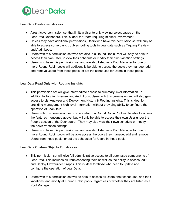

#### **LeanData Dashboard Access**

- A restrictive permission set that limits a User to only viewing select pages on the LeanData Dashboard. This is ideal for Users requiring minimal involvement.
- Unless they have additional permissions, Users who have this permission set will only be able to access some basic troubleshooting tools in Leandata such as Tagging Preview and Audit Logs.
- Users with this permission set who are also in a Round Robin Pool will only be able to access their own User, to view their schedule or modify their own Vacation settings.
- Users who have this permission set and are also listed as a Pool Manager for one or more Round Robin pools will additionally be able to access the pools they manage, add and remove Users from those pools, or set the schedules for Users in those pools.

#### **LeanData Read Only with Routing Insights**

- This permission set will give intermediate access to summary level information. In addition to Tagging Preview and Audit Logs, Users with this permission set will also gain access to List Analyzer and Deployment History & Routing Insights. This is ideal for providing management high level information without providing ability to configure the operation of LeanData.
- Users with this permission set who are also in a Round Robin Pool will be able to access the features mentioned above, but will only be able to access their own User under the People section of the Dashboard. They may also view their own schedule or modify their own Vacation settings.
- Users who have this permission set and are also listed as a Pool Manager for one or more Round Robin pools will be able access the pools they manage, add and remove Users from those pools, or set the schedules for Users in those pools.

#### **LeanData Custom Objects Full Access**

- This permission set will give full administrative access to all purchased components of LeanData. This includes all troubleshooting tools as well as the ability to access, edit, and Deploy Flowbuilder Graphs. This is ideal for those who need to update and configure the operation of LeanData.
- Users with this permission set will be able to access all Users, their schedules, and their vacations, and modify all Round Robin pools, regardless of whether they are listed as a Pool Manager.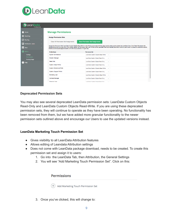

#### **D** LeanData

| Home                                        | <b>Manage Permissions</b>                                                             |                                                                                                                                                                                                                                                                                                                                                                                   |  |
|---------------------------------------------|---------------------------------------------------------------------------------------|-----------------------------------------------------------------------------------------------------------------------------------------------------------------------------------------------------------------------------------------------------------------------------------------------------------------------------------------------------------------------------------|--|
| <b>O</b> Matching                           | <b>Assign Permission Sets</b>                                                         |                                                                                                                                                                                                                                                                                                                                                                                   |  |
| (F) Routing<br><b>III</b> Attribution ADDED | <b>Save Permission Set Assignments</b><br><b>Clear All Permission Set Assignments</b> |                                                                                                                                                                                                                                                                                                                                                                                   |  |
| $\boxed{1}$ View                            | Email customersuccess@leandatainc.com with any questions or to get help.              | Assign the Permission Set "LeanData Custom Objects Read-Write" to the Profiles associated with the page layouts where you've placed the LeanData View. Click "Save Permission Set<br>Assignments when you are done. If you prefer, assign the Permission Set to all Profiles so the LeanData View automatically becomes visible to users once it is placed on additional layouts. |  |
| <b>CE</b> Admin                             | <b>Profile Name</b>                                                                   | <b>Permission Set</b>                                                                                                                                                                                                                                                                                                                                                             |  |
| <b>Settings</b>                             | <b>System Administrator</b>                                                           | LeanData Custom Objects Read-Write<br>$\checkmark$                                                                                                                                                                                                                                                                                                                                |  |
| <b>Permissions</b><br><b>Routing Usage</b>  | <b>Solution Manager</b>                                                               | LeanData Custom Object Read Only<br>$\checkmark$                                                                                                                                                                                                                                                                                                                                  |  |
| <sup>2</sup> Help                           | <b>Read Only</b>                                                                      | LeanData Custom Object Read Only<br>$\checkmark$                                                                                                                                                                                                                                                                                                                                  |  |
|                                             | <b>Custom: Sales Profile</b>                                                          | LeanData Custom Object Read Only<br>$\checkmark$                                                                                                                                                                                                                                                                                                                                  |  |
|                                             | <b>Custom: Marketing Profile</b>                                                      | LeanData Custom Objects Read-Write<br>$\checkmark$                                                                                                                                                                                                                                                                                                                                |  |
|                                             | <b>Custom: Support Profile</b>                                                        | LeanData Custom Object Read Only<br>$\checkmark$                                                                                                                                                                                                                                                                                                                                  |  |
|                                             | <b>Marketing User</b>                                                                 | LeanData Custom Objects Read-Write<br>$\checkmark$                                                                                                                                                                                                                                                                                                                                |  |
|                                             | <b>Contract Manager</b>                                                               | LeanData Custom Object Read Only<br>$\checkmark$                                                                                                                                                                                                                                                                                                                                  |  |
|                                             | Standard Liser                                                                        | LoanData Custom Object Road Only<br>$\sim$                                                                                                                                                                                                                                                                                                                                        |  |

#### **Deprecated Permission Sets**

You may also see several deprecated LeanData permission sets: LeanData Custom Objects Read-Only and LeanData Custom Objects Read-Write. If you are using these deprecated permission sets, they will continue to operate as they have been operating. No functionality has been removed from them, but we have added more granular functionality to the newer permission sets outlined above and encourage our Users to use the updated versions instead.

#### **LeanData Marketing Touch Permission Set**

- Gives visibility to all LeanData Attribution features
- Allows editing of Leandata Attribution settings
- Does not come with LeanData package download, needs to be created. To create this permission set and assign it to users:
	- 1. Go into the LeanData Tab, then Attribution, the General Settings
	- 2. You will see "Add Marketing Touch Permission Set". Click on this:



 $(+)$  Add Marketing Touch Permission Set

3. Once you've clicked, this will change to: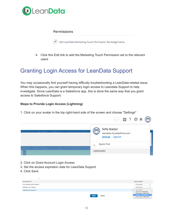

#### **Permissions**

0 Edit LeanData Marketing Touch Permission Set Assignments

4. Click this Edit link to add the Marketing Touch Permission set to the relevant users

# <span id="page-9-0"></span>Granting Login Access for LeanData Support

You may occasionally find yourself having difficulty troubleshooting a LeanData-related issue. When this happens, you can grant temporary login access to Leandata Support to help investigate. Since LeanData is a Salesforce app, this is done the same way that you grant access to Salesforce Support.

#### **Steps to Provide Login Access (Lightning)**

1. Click on your avatar in the top right-hand side of the screen and choose "Settings"

|               | $\begin{picture}(10,10) \put(0,0){\line(1,0){10}} \put(10,0){\line(1,0){10}} \put(10,0){\line(1,0){10}} \put(10,0){\line(1,0){10}} \put(10,0){\line(1,0){10}} \put(10,0){\line(1,0){10}} \put(10,0){\line(1,0){10}} \put(10,0){\line(1,0){10}} \put(10,0){\line(1,0){10}} \put(10,0){\line(1,0){10}} \put(10,0){\line(1,0){10}} \put(10,0){\line(1$ |
|---------------|-----------------------------------------------------------------------------------------------------------------------------------------------------------------------------------------------------------------------------------------------------------------------------------------------------------------------------------------------------|
| , , , , , . , | Sofia Stalteri<br>$\mathbf{C}(\mathbf{0})$<br>leandata.my.salesforce.com<br>Settings Log Out                                                                                                                                                                                                                                                        |
|               | Quick Find                                                                                                                                                                                                                                                                                                                                          |
|               | <b>USERNAMES</b>                                                                                                                                                                                                                                                                                                                                    |

- 2. Click on Grant Account Login Access
- 3. Set the access expiration date for LeanData Support
- 4. Click Save

| .<br>$\sim$<br>.             |                       |                                                                                |
|------------------------------|-----------------------|--------------------------------------------------------------------------------|
| <b>Grant Access To</b>       |                       | <b>Access Duration</b>                                                         |
| Your Company's Administrator |                       | --No Access--                                                                  |
| Salesforce.com Support       |                       | --No Access--                                                                  |
| LeanData, Inc. Support       |                       | $\checkmark$ --No Access--                                                     |
|                              |                       | 1 Day (exp. 10/27/2018)<br>3 Days (exp. 10/29/2018)<br>1 Week (exp. 11/2/2018) |
|                              | Cancel<br><b>Save</b> | 1 Month (exp. 11/26/2018)                                                      |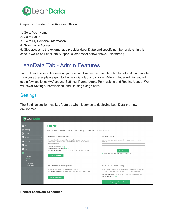

#### **Steps to Provide Login Access (Classic)**

- 1. Go to Your Name
- 2. Go to Setup
- 3. Go to My Personal Information
- 4. Grant Login Access

5. Give access to the external app provider (LeanData) and specify number of days. In this case, it would be LeanData Support. (Screenshot below shows Salesforce.)

# <span id="page-10-0"></span>LeanData Tab - Admin Features

You will have several features at your disposal within the LeanData tab to help admin LeanData. To access these, please go into the LeanData tab and click on Admin. Under Admin, you will see a few sections: My Account, Settings, Partner Apps, Permissions and Routing Usage. We will cover Settings, Permissions, and Routing Usage here.

### **Settings**

The Settings section has key features when it comes to deploying LeanData in a new environment



#### **Restart LeanData Scheduler**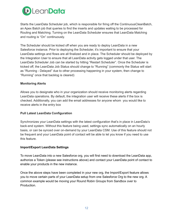

Starts the LeanData Scheduler job, which is responsible for firing off the ContinuousCleanBatch, an Apex Batch job that queries to find the inserts and updates waiting to be processed for Routing and Matching. Turning on the LeanData Scheduler ensures that LeanData Matching and routing is "On" continuously.

The Scheduler should be kicked off when you are ready to deploy LeanData in a new Salesforce instance. Prior to deploying the Scheduler, it's important to ensure that your LeanData settings and flows are all finalized and in place. The Scheduler should be deployed by the Integration User to ensure that all LeanData activity gets logged under that user. The LeanData Scheduler Job can be started by hitting "Restart Scheduler". Once the Scheduler is kicked off, the LeanData Job Status should change to "Running" (commonly the Status will start as "Running - Delayed" due to other processing happening in your system, then change to "Running" once that backlog is cleared)

#### **Monitoring Alerts**

Allows you to designate who in your organization should receive monitoring alerts regarding LeanData operations. By default, the integration user will receive these alerts if the box is checked. Additionally, you can add the email addresses for anyone whom you would like to receive alerts in the entry box

#### **Pull Latest LeanData Configuration**

Synchronizes your LeanData settings with the latest configuration that's in place in LeanData's back-end system. Without this feature being used, settings sync automatically on an hourly basis, or can be synced over on-demand by your LeanData CSM. Use of this feature should not be frequent and your LeanData point of contact will be able to let you know if you need to use this feature.

#### **Import/Export LeanData Settings**

To move LeanData into a new Salesforce org, you will first need to download the LeanData app, authorize a Token (please see instructions above) and contact your LeanData point of contact to enable your products in the new instance.

Once the above steps have been completed in your new org, the Import/Export feature allows you to move certain parts of your LeanData setup from one Salesforce Org to the new org. A common example would be moving your Round Robin Groups from Sandbox over to Production.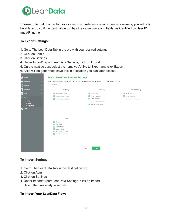

\*Please note that in order to move items which reference specific fields or owners, you will only be able to do so if the destination org has the same users and fields, as identified by User ID and API name.

#### **To Export Settings:**

- 1. Go to The LeanData Tab in the org with your desired settings
- 2. Click on Admin
- 3. Click on Settings
- 4. Under Import/Export LeanData Settings, click on Export
- 5. On the next screen, select the items you'd like to Export and click Export
- 6. A file will be generated, save this in a location you can later access.

| m | Home                                                                                                   |               | <b>Export LeanData Product Settings</b>                                                                                                                                          |                                                                                                                           |                                                          |
|---|--------------------------------------------------------------------------------------------------------|---------------|----------------------------------------------------------------------------------------------------------------------------------------------------------------------------------|---------------------------------------------------------------------------------------------------------------------------|----------------------------------------------------------|
|   | <b>E</b> Matching                                                                                      | $\rightarrow$ | Select LeanData settings file and desired settings you would like to export out of this Salesforce org                                                                           |                                                                                                                           |                                                          |
|   | <b>B</b> Routing                                                                                       | $\rightarrow$ | Uncheck All                                                                                                                                                                      |                                                                                                                           |                                                          |
|   | <b>III</b> Attribution                                                                                 | $\rightarrow$ | Matching                                                                                                                                                                         | <b>Lead Routing</b>                                                                                                       | <b>Contact Routing</b>                                   |
|   | $\boxed{=}$ View<br>Admin<br><b>Settings</b><br>Permissions<br><b>Routing Usage</b><br>$\bigcirc$ Help | $\rightarrow$ | Matching Tie-Breakers<br>Mapped Account Fields<br>Preserve Manual Updates<br>$\mathcal{L}$                                                                                       | Round Robin<br>Merge Duplicates<br>Owner Mappings<br>✓<br>Account Team Management<br>$\checkmark$<br>New Account Creation | Round Robin<br>Owner Mappings<br>Account Team Management |
|   |                                                                                                        |               | View<br>$\overline{\mathcal{L}}$<br>General<br>Lead Layout<br>Contact Layout<br>Account Layout<br><b>Related Leads Settings</b><br><b>Mass Convert Settings</b><br>$\mathcal{L}$ | <b>Export</b><br>Cancel                                                                                                   |                                                          |

#### **To Import Settings:**

- 1. Go to The LeanData Tab in the destination org
- 2. Click on Admin
- 3. Click on Settings
- 4. Under Import/Export LeanData Settings, click on Import
- 5. Select the previously saved file

#### **To Import Your LeanData Flow:**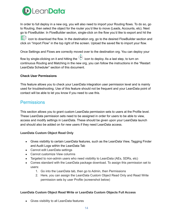

In order to full deploy in a new org, you will also need to import your Routing flows. To do so, go to Routing, then select the object for the router you'd like to move (Leads, Accounts, etc). Next go to FlowBuilder. In FlowBuilder section, single-click on the flow you'd like to export and hit the

icon to download the flow. In the destination org, go to the desired FlowBuilder section and click on "Import Flow" in the top right of the screen. Upload the saved file to import your flow.

Once Settings and Flows are correctly moved over to the destination org. You can deploy your

flow by single-clicking on it and hitting the  $\bigcirc$  icon to deploy. As a last step, to turn on continuous Routing and Matching in the new org, you can follow the instructions in the "Restart LeanData Scheduler" section of this document.

#### **Check User Permissions**

This feature allows you to check your LeanData integration user permission level and is mainly used for troubleshooting. Use of this feature should not be frequent and your LeanData point of contact will be able to let you know if you need to use this.

### **Permissions**

This section allows you to grant custom LeanData permission sets to users at the Profile level. These LeanData permission sets need to be assigned in order for users to be able to view, access and modify settings in LeanData. These should be given upon your LeanData launch and should also be added on for new users if they need LeanData access.

#### **LeanData Custom Object Read Only**

- Gives visibility to certain LeanData features, such as the LeanData View, Tagging Finder and Audit Logs within the LeanData Tab
- Cannot edit LeanData settings
- Cannot customize View columns
- Targeted to non-admin users who need visibility to LeanData (AEs, SDRs, etc)
- Comes standard with the LeanData package download. To assign this permission set to users:
	- 1. Go into the LeanData tab, then go to Admin, then Permissions
	- 2. Here, you can assign the LeanData Custom Object Read Only and Read Write permission sets by user Profile (screenshot below)

#### **LeanData Custom Object Read Write or LeanData Custom Objects Full Access**

● Gives visibility to all LeanData features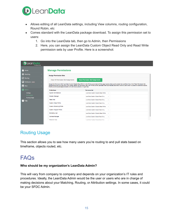

- Allows editing of all LeanData settings, including View columns, routing configuration, Round Robin, etc
- Comes standard with the LeanData package download. To assign this permission set to users:
	- 1. Go into the LeanData tab, then go to Admin, then Permissions
	- 2. Here, you can assign the LeanData Custom Object Read Only and Read Write permission sets by user Profile. Here is a screenshot:

| Lean <b>Data</b> i<br>Professional  |  |                                                                          |                                                                                                                                                                                              |
|-------------------------------------|--|--------------------------------------------------------------------------|----------------------------------------------------------------------------------------------------------------------------------------------------------------------------------------------|
| Home                                |  | <b>Manage Permissions</b>                                                |                                                                                                                                                                                              |
| Matching                            |  | <b>Assign Permission Sets</b>                                            |                                                                                                                                                                                              |
| ⊕<br>Routing                        |  | <b>Clear All Permission Set Assignments</b>                              | <b>Save Permission Set Assignments</b>                                                                                                                                                       |
| <b>ILL</b> Attribution ADDED        |  |                                                                          | Assign the Permission Set "LeanData Custom Objects Read-Write" to the Profiles associated with the page layouts where you've placed the LeanData View. Click "Save Permission Set            |
| $\blacksquare$<br>View              |  | Email customersuccess@leandatainc.com with any questions or to get help. | Assignments when you are done. If you prefer, assign the Permission Set to all Profiles so the LeanData View automatically becomes visible to users once it is placed on additional layouts. |
| <b>D</b> Admin                      |  | <b>Profile Name</b>                                                      | <b>Permission Set</b>                                                                                                                                                                        |
| <b>Settings</b>                     |  | <b>System Administrator</b>                                              | LeanData Custom Objects Read-Write<br>$\checkmark$                                                                                                                                           |
| Permissions<br><b>Routing Usage</b> |  | <b>Solution Manager</b>                                                  | LeanData Custom Object Read Only<br>$\checkmark$                                                                                                                                             |
| $\mathbf{P}$ Help                   |  | <b>Read Only</b>                                                         | LeanData Custom Object Read Only<br>$\checkmark$                                                                                                                                             |
|                                     |  | <b>Custom: Sales Profile</b>                                             | LeanData Custom Object Read Only<br>$\checkmark$                                                                                                                                             |
|                                     |  | <b>Custom: Marketing Profile</b>                                         | LeanData Custom Objects Read-Write<br>$\checkmark$                                                                                                                                           |
|                                     |  | <b>Custom: Support Profile</b>                                           | LeanData Custom Object Read Only<br>$\checkmark$                                                                                                                                             |
|                                     |  | <b>Marketing User</b>                                                    | LeanData Custom Objects Read-Write<br>$\checkmark$                                                                                                                                           |
|                                     |  | <b>Contract Manager</b>                                                  | LeanData Custom Object Read Only<br>$\checkmark$                                                                                                                                             |
|                                     |  | Standard Liser                                                           | LoanData Custom Object Road Only<br>$\sim$                                                                                                                                                   |

### Routing Usage

This section allows you to see how many users you're routing to and pull stats based on timeframe, objects routed, etc.

### <span id="page-14-0"></span>FAQs

#### **Who should be my organization's LeanData Admin?**

This will vary from company to company and depends on your organization's IT rules and procedures. Ideally, the LeanData Admin would be the user or users who are in charge of making decisions about your Matching, Routing, or Attribution settings. In some cases, it could be your SFDC Admin.